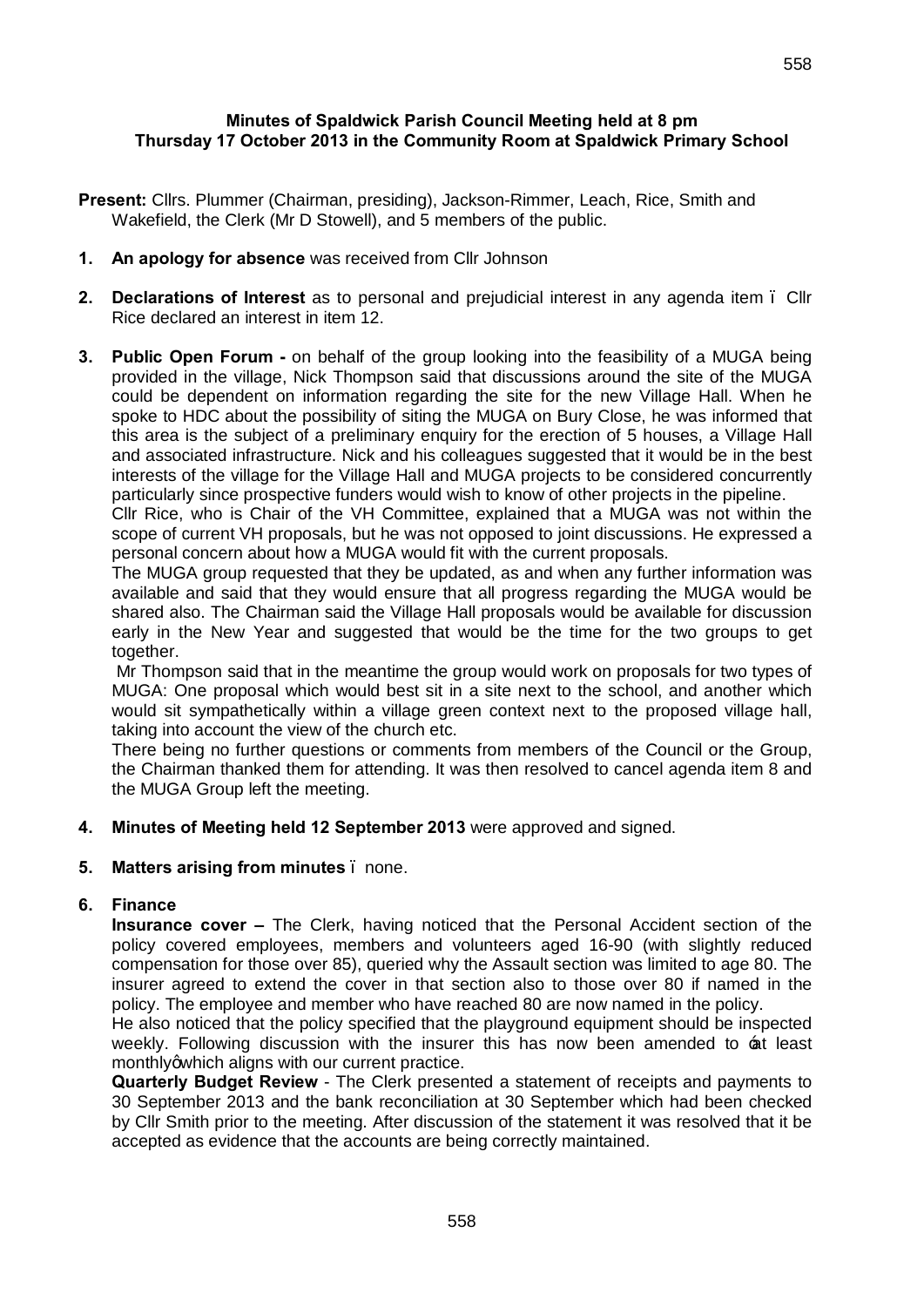### **Minutes of Spaldwick Parish Council Meeting held at 8 pm Thursday 17 October 2013 in the Community Room at Spaldwick Primary School**

- **Present:** Cllrs. Plummer (Chairman, presiding), Jackson-Rimmer, Leach, Rice, Smith and Wakefield, the Clerk (Mr D Stowell), and 5 members of the public.
- **1. An apology for absence** was received from Cllr Johnson
- **2. Declarations of Interest** as to personal and prejudicial interest in any agenda item Cllr Rice declared an interest in item 12.
- **3. Public Open Forum -** on behalf of the group looking into the feasibility of a MUGA being provided in the village, Nick Thompson said that discussions around the site of the MUGA could be dependent on information regarding the site for the new Village Hall. When he spoke to HDC about the possibility of siting the MUGA on Bury Close, he was informed that this area is the subject of a preliminary enquiry for the erection of 5 houses, a Village Hall and associated infrastructure. Nick and his colleagues suggested that it would be in the best interests of the village for the Village Hall and MUGA projects to be considered concurrently particularly since prospective funders would wish to know of other projects in the pipeline.

Cllr Rice, who is Chair of the VH Committee, explained that a MUGA was not within the scope of current VH proposals, but he was not opposed to joint discussions. He expressed a personal concern about how a MUGA would fit with the current proposals.

The MUGA group requested that they be updated, as and when any further information was available and said that they would ensure that all progress regarding the MUGA would be shared also. The Chairman said the Village Hall proposals would be available for discussion early in the New Year and suggested that would be the time for the two groups to get together.

Mr Thompson said that in the meantime the group would work on proposals for two types of MUGA: One proposal which would best sit in a site next to the school, and another which would sit sympathetically within a village green context next to the proposed village hall, taking into account the view of the church etc.

There being no further questions or comments from members of the Council or the Group, the Chairman thanked them for attending. It was then resolved to cancel agenda item 8 and the MUGA Group left the meeting.

### **4. Minutes of Meeting held 12 September 2013** were approved and signed.

#### **5. Matters arising from minutes** – none.

#### **6. Finance**

**Insurance cover –** The Clerk, having noticed that the Personal Accident section of the policy covered employees, members and volunteers aged 16-90 (with slightly reduced compensation for those over 85), queried why the Assault section was limited to age 80. The insurer agreed to extend the cover in that section also to those over 80 if named in the policy. The employee and member who have reached 80 are now named in the policy.

He also noticed that the policy specified that the playground equipment should be inspected weekly. Following discussion with the insurer this has now been amended to at least monthly awhich aligns with our current practice.

**Quarterly Budget Review** - The Clerk presented a statement of receipts and payments to 30 September 2013 and the bank reconciliation at 30 September which had been checked by Cllr Smith prior to the meeting. After discussion of the statement it was resolved that it be accepted as evidence that the accounts are being correctly maintained.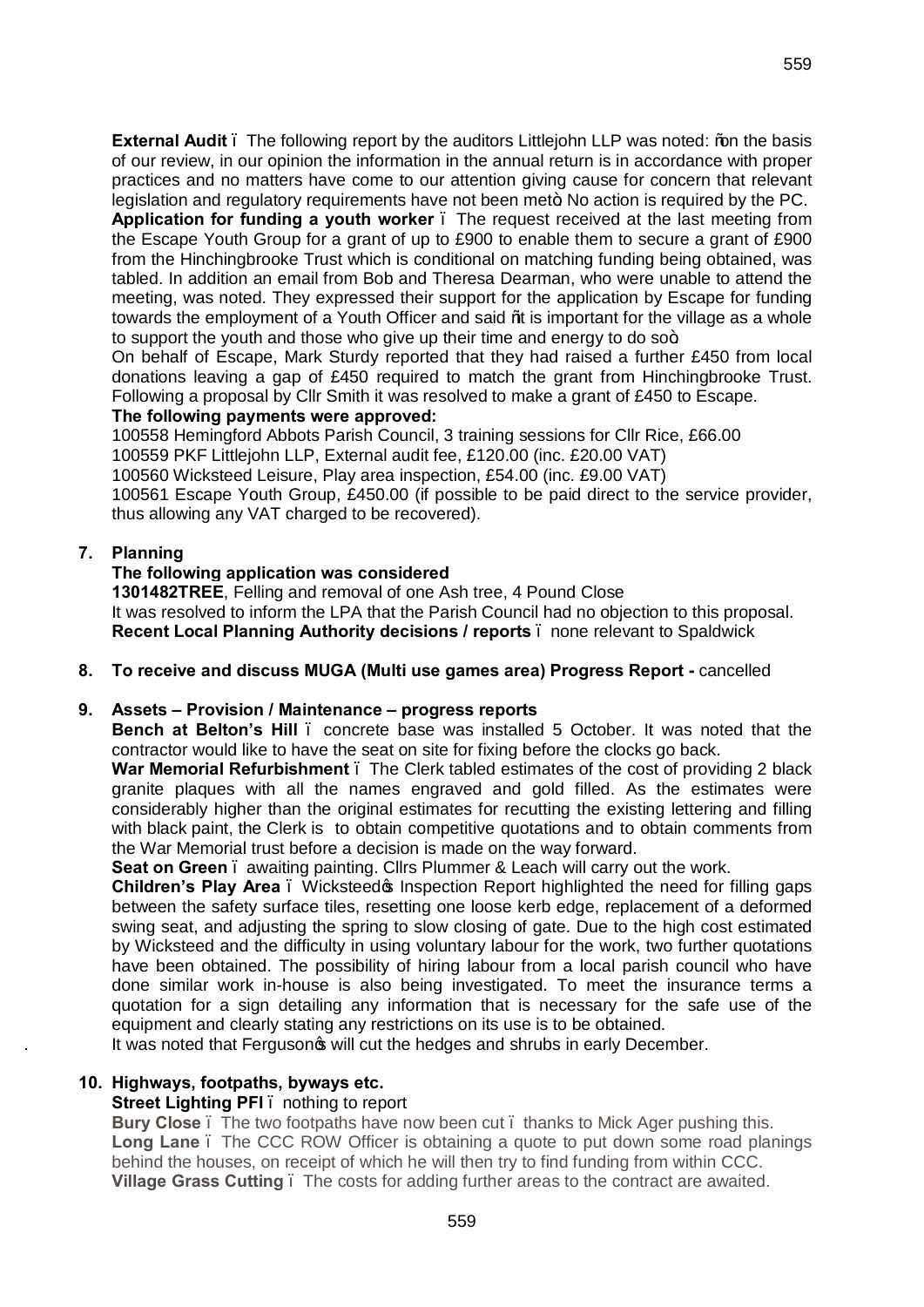**Application for funding a youth worker** – The request received at the last meeting from the Escape Youth Group for a grant of up to £900 to enable them to secure a grant of £900 from the Hinchingbrooke Trust which is conditional on matching funding being obtained, was tabled. In addition an email from Bob and Theresa Dearman, who were unable to attend the meeting, was noted. They expressed their support for the application by Escape for funding towards the employment of a Youth Officer and said \to is important for the village as a whole to support the youth and those who give up their time and energy to do  $\mathsf{so}\text{+}$ .

On behalf of Escape, Mark Sturdy reported that they had raised a further £450 from local donations leaving a gap of £450 required to match the grant from Hinchingbrooke Trust. Following a proposal by Cllr Smith it was resolved to make a grant of £450 to Escape.

### **The following payments were approved:**

100558 Hemingford Abbots Parish Council, 3 training sessions for Cllr Rice, £66.00

100559 PKF Littlejohn LLP, External audit fee, £120.00 (inc. £20.00 VAT)

100560 Wicksteed Leisure, Play area inspection, £54.00 (inc. £9.00 VAT)

100561 Escape Youth Group, £450.00 (if possible to be paid direct to the service provider, thus allowing any VAT charged to be recovered).

# **7. Planning**

# **The following application was considered**

**1301482TREE**, Felling and removal of one Ash tree, 4 Pound Close It was resolved to inform the LPA that the Parish Council had no objection to this proposal. **Recent Local Planning Authority decisions / reports** – none relevant to Spaldwick

**8. To receive and discuss MUGA (Multi use games area) Progress Report -** cancelled

# **9. Assets – Provision / Maintenance – progress reports**

**Bench at Belton's Hill** – concrete base was installed 5 October. It was noted that the contractor would like to have the seat on site for fixing before the clocks go back.

War Memorial Refurbishment . The Clerk tabled estimates of the cost of providing 2 black granite plaques with all the names engraved and gold filled. As the estimates were considerably higher than the original estimates for recutting the existing lettering and filling with black paint, the Clerk is to obtain competitive quotations and to obtain comments from the War Memorial trust before a decision is made on the way forward.

**Seat on Green** – awaiting painting. Cllrs Plummer & Leach will carry out the work.

**Children's Play Area** . Wicksteed the proport highlighted the need for filling gaps between the safety surface tiles, resetting one loose kerb edge, replacement of a deformed swing seat, and adjusting the spring to slow closing of gate. Due to the high cost estimated by Wicksteed and the difficulty in using voluntary labour for the work, two further quotations have been obtained. The possibility of hiring labour from a local parish council who have done similar work in-house is also being investigated. To meet the insurance terms a quotation for a sign detailing any information that is necessary for the safe use of the equipment and clearly stating any restrictions on its use is to be obtained.

It was noted that Fergusong will cut the hedges and shrubs in early December.

# **10. Highways, footpaths, byways etc.**

# **Street Lighting PFI** – nothing to report

**Bury Close** . The two footpaths have now been cut . thanks to Mick Ager pushing this. Long Lane . The CCC ROW Officer is obtaining a quote to put down some road planings behind the houses, on receipt of which he will then try to find funding from within CCC. **Village Grass Cutting** – The costs for adding further areas to the contract are awaited.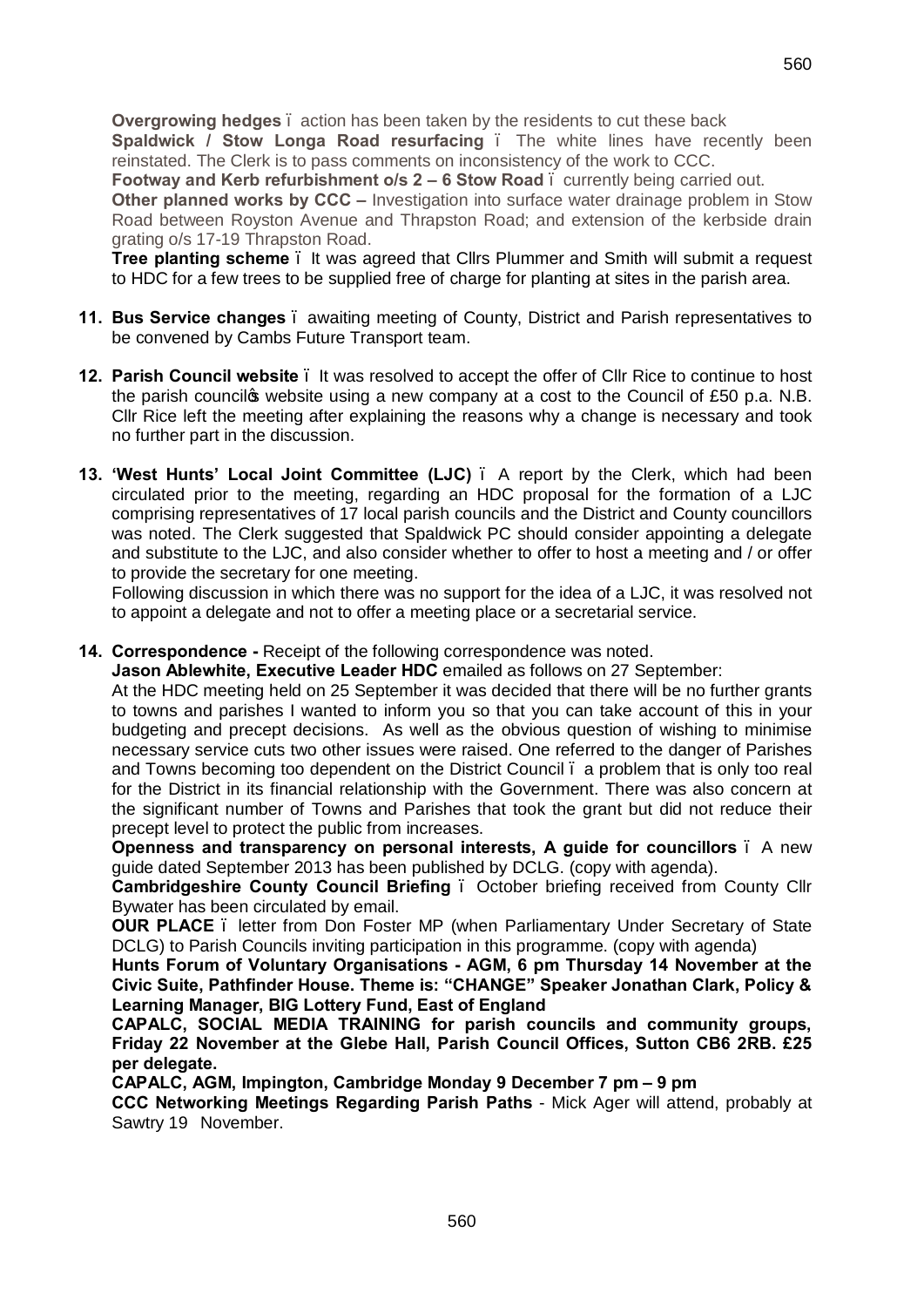**Overgrowing hedges** – action has been taken by the residents to cut these back **Spaldwick / Stow Longa Road resurfacing .** The white lines have recently been reinstated. The Clerk is to pass comments on inconsistency of the work to CCC.

**Footway and Kerb refurbishment o/s 2 – 6 Stow Road . currently being carried out.** 

**Other planned works by CCC –** Investigation into surface water drainage problem in Stow Road between Royston Avenue and Thrapston Road; and extension of the kerbside drain grating o/s 17-19 Thrapston Road.

**Tree planting scheme** . It was agreed that Cllrs Plummer and Smith will submit a request to HDC for a few trees to be supplied free of charge for planting at sites in the parish area.

- **11. Bus Service changes**  awaiting meeting of County, District and Parish representatives to be convened by Cambs Future Transport team.
- **12. Parish Council website**  It was resolved to accept the offer of Cllr Rice to continue to host the parish councilos website using a new company at a cost to the Council of £50 p.a. N.B. Cllr Rice left the meeting after explaining the reasons why a change is necessary and took no further part in the discussion.
- **13. 'West Hunts' Local Joint Committee (LJC)**  A report by the Clerk, which had been circulated prior to the meeting, regarding an HDC proposal for the formation of a LJC comprising representatives of 17 local parish councils and the District and County councillors was noted. The Clerk suggested that Spaldwick PC should consider appointing a delegate and substitute to the LJC, and also consider whether to offer to host a meeting and / or offer to provide the secretary for one meeting.

Following discussion in which there was no support for the idea of a LJC, it was resolved not to appoint a delegate and not to offer a meeting place or a secretarial service.

### **14. Correspondence -** Receipt of the following correspondence was noted.

**Jason Ablewhite, Executive Leader HDC** emailed as follows on 27 September:

At the HDC meeting held on 25 September it was decided that there will be no further grants to towns and parishes I wanted to inform you so that you can take account of this in your budgeting and precept decisions. As well as the obvious question of wishing to minimise necessary service cuts two other issues were raised. One referred to the danger of Parishes and Towns becoming too dependent on the District Council – a problem that is only too real for the District in its financial relationship with the Government. There was also concern at the significant number of Towns and Parishes that took the grant but did not reduce their precept level to protect the public from increases.

**Openness and transparency on personal interests, A guide for councillors** – A new guide dated September 2013 has been published by DCLG. (copy with agenda).

**Cambridgeshire County Council Briefing** – October briefing received from County Cllr Bywater has been circulated by email.

**OUR PLACE** – letter from Don Foster MP (when Parliamentary Under Secretary of State DCLG) to Parish Councils inviting participation in this programme. (copy with agenda)

**Hunts Forum of Voluntary Organisations - AGM, 6 pm Thursday 14 November at the Civic Suite, Pathfinder House. Theme is: "CHANGE" Speaker Jonathan Clark, Policy & Learning Manager, BIG Lottery Fund, East of England**

**CAPALC, SOCIAL MEDIA TRAINING for parish councils and community groups, Friday 22 November at the Glebe Hall, Parish Council Offices, Sutton CB6 2RB. £25 per delegate.**

**CAPALC, AGM, Impington, Cambridge Monday 9 December 7 pm – 9 pm**

**CCC Networking Meetings Regarding Parish Paths** - Mick Ager will attend, probably at Sawtry 19 November.